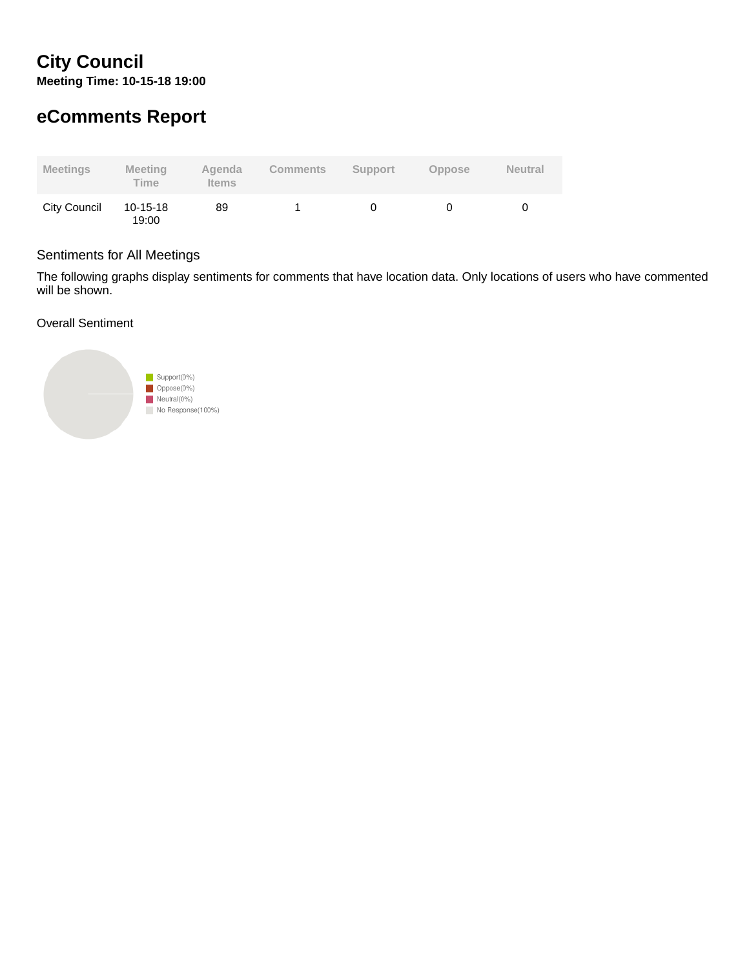# **City Council Meeting Time: 10-15-18 19:00**

# **eComments Report**

| <b>Meetings</b> | <b>Meeting</b><br><b>Time</b> | Agenda<br><b>Items</b> | <b>Comments</b> | Support | <b>Oppose</b> | <b>Neutral</b> |
|-----------------|-------------------------------|------------------------|-----------------|---------|---------------|----------------|
| City Council    | 10-15-18<br>19:00             | 89                     |                 |         |               |                |

### Sentiments for All Meetings

The following graphs display sentiments for comments that have location data. Only locations of users who have commented will be shown.

Overall Sentiment